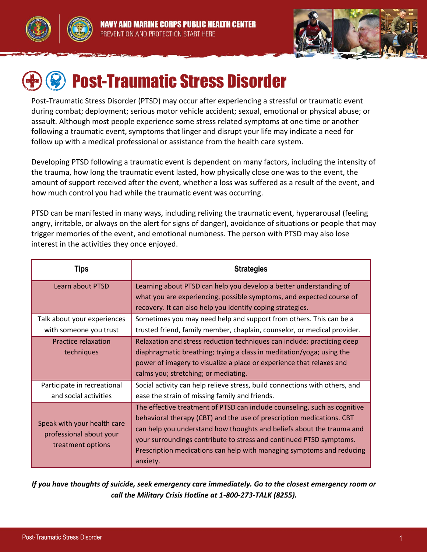



# Post-Traumatic Stress Disorder

Post-Traumatic Stress Disorder (PTSD) may occur after experiencing a stressful or traumatic event during combat; deployment; serious motor vehicle accident; sexual, emotional or physical abuse; or assault. Although most people experience some stress related symptoms at one time or another following a traumatic event, symptoms that linger and disrupt your life may indicate a need for follow up with a medical professional or assistance from the health care system.

Developing PTSD following a traumatic event is dependent on many factors, including the intensity of the trauma, how long the traumatic event lasted, how physically close one was to the event, the amount of support received after the event, whether a loss was suffered as a result of the event, and how much control you had while the traumatic event was occurring.

PTSD can be manifested in many ways, including reliving the traumatic event, hyperarousal (feeling angry, irritable, or always on the alert for signs of danger), avoidance of situations or people that may trigger memories of the event, and emotional numbness. The person with PTSD may also lose interest in the activities they once enjoyed.

| Tips                                                                        | <b>Strategies</b>                                                                                                                                                                                                                                                                                                                                                                       |
|-----------------------------------------------------------------------------|-----------------------------------------------------------------------------------------------------------------------------------------------------------------------------------------------------------------------------------------------------------------------------------------------------------------------------------------------------------------------------------------|
| Learn about PTSD                                                            | Learning about PTSD can help you develop a better understanding of<br>what you are experiencing, possible symptoms, and expected course of                                                                                                                                                                                                                                              |
|                                                                             | recovery. It can also help you identify coping strategies.                                                                                                                                                                                                                                                                                                                              |
| Talk about your experiences                                                 | Sometimes you may need help and support from others. This can be a                                                                                                                                                                                                                                                                                                                      |
| with someone you trust                                                      | trusted friend, family member, chaplain, counselor, or medical provider.                                                                                                                                                                                                                                                                                                                |
| Practice relaxation<br>techniques                                           | Relaxation and stress reduction techniques can include: practicing deep<br>diaphragmatic breathing; trying a class in meditation/yoga; using the<br>power of imagery to visualize a place or experience that relaxes and                                                                                                                                                                |
|                                                                             | calms you; stretching; or mediating.                                                                                                                                                                                                                                                                                                                                                    |
| Participate in recreational<br>and social activities                        | Social activity can help relieve stress, build connections with others, and<br>ease the strain of missing family and friends.                                                                                                                                                                                                                                                           |
| Speak with your health care<br>professional about your<br>treatment options | The effective treatment of PTSD can include counseling, such as cognitive<br>behavioral therapy (CBT) and the use of prescription medications. CBT<br>can help you understand how thoughts and beliefs about the trauma and<br>your surroundings contribute to stress and continued PTSD symptoms.<br>Prescription medications can help with managing symptoms and reducing<br>anxiety. |

*If you have thoughts of suicide, seek emergency care immediately. Go to the closest emergency room or call the Military Crisis Hotline at 1-800-273-TALK (8255).*